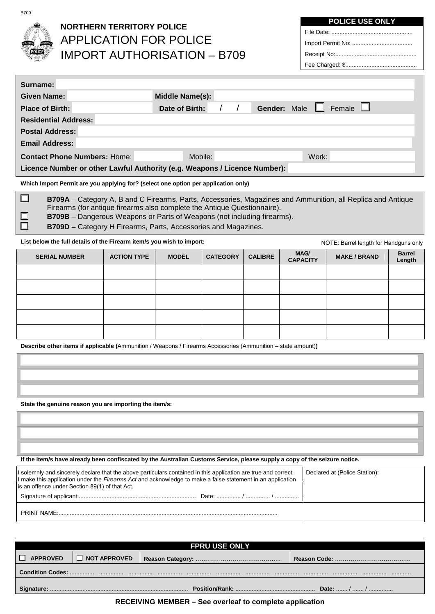$\Box$ 

## **NORTHERN TERRITORY POLICE** APPLICATION FOR POLICE IMPORT AUTHORISATION – B709

**POLICE USE ONLY**

| Surname:                                                                  |                                                 |  |  |  |  |
|---------------------------------------------------------------------------|-------------------------------------------------|--|--|--|--|
| <b>Given Name:</b>                                                        | Middle Name(s):                                 |  |  |  |  |
| <b>Place of Birth:</b>                                                    | Female $\Box$<br>Gender: Male<br>Date of Birth: |  |  |  |  |
| <b>Residential Address:</b>                                               |                                                 |  |  |  |  |
| <b>Postal Address:</b>                                                    |                                                 |  |  |  |  |
| <b>Email Address:</b>                                                     |                                                 |  |  |  |  |
| <b>Contact Phone Numbers: Home:</b>                                       | Work:<br>Mobile:                                |  |  |  |  |
| Licence Number or other Lawful Authority (e.g. Weapons / Licence Number): |                                                 |  |  |  |  |

**Which Import Permit are you applying for? (select one option per application only)**

□ **B709A** – Category A, B and C Firearms, Parts, Accessories, Magazines and Ammunition, all Replica and Antique Firearms (for antique firearms also complete the Antique Questionnaire). ◻

- **B709B** Dangerous Weapons or Parts of Weapons (not including firearms).
- **B709D** Category H Firearms, Parts, Accessories and Magazines.

**List below the full details of the Firearm item/s you wish to import:**

| List below the full details of the Firearm item/s you wish to import: |                    |  |                                 |  | NOTE: Barrel length for Handguns only |                     |                         |
|-----------------------------------------------------------------------|--------------------|--|---------------------------------|--|---------------------------------------|---------------------|-------------------------|
| <b>SERIAL NUMBER</b>                                                  | <b>ACTION TYPE</b> |  | <b>CATEGORY</b><br><b>MODEL</b> |  | <b>MAG/</b><br><b>CAPACITY</b>        | <b>MAKE / BRAND</b> | <b>Barrel</b><br>Length |
|                                                                       |                    |  |                                 |  |                                       |                     |                         |
|                                                                       |                    |  |                                 |  |                                       |                     |                         |
|                                                                       |                    |  |                                 |  |                                       |                     |                         |
|                                                                       |                    |  |                                 |  |                                       |                     |                         |
|                                                                       |                    |  |                                 |  |                                       |                     |                         |

**Describe other items if applicable (**Ammunition / Weapons / Firearms Accessories (Ammunition – state amount)**)** 

**State the genuine reason you are importing the item/s:**

**If the item/s have already been confiscated by the Australian Customs Service, please supply a copy of the seizure notice.**

| I solemnly and sincerely declare that the above particulars contained in this application are true and correct.<br>If make this application under the Firearms Act and acknowledge to make a false statement in an application<br>is an offence under Section 89(1) of that Act. | Declared at (Police Station): |
|----------------------------------------------------------------------------------------------------------------------------------------------------------------------------------------------------------------------------------------------------------------------------------|-------------------------------|
|                                                                                                                                                                                                                                                                                  |                               |
| PRINT NAME:                                                                                                                                                                                                                                                                      |                               |

| <b>FPRU USE ONLY</b>                 |                |  |  |  |  |
|--------------------------------------|----------------|--|--|--|--|
| <b>APPROVED</b>                      | I NOT APPROVED |  |  |  |  |
| .<br>.<br>.<br>.<br><br><br><br><br> |                |  |  |  |  |
| Date:  /  /                          |                |  |  |  |  |